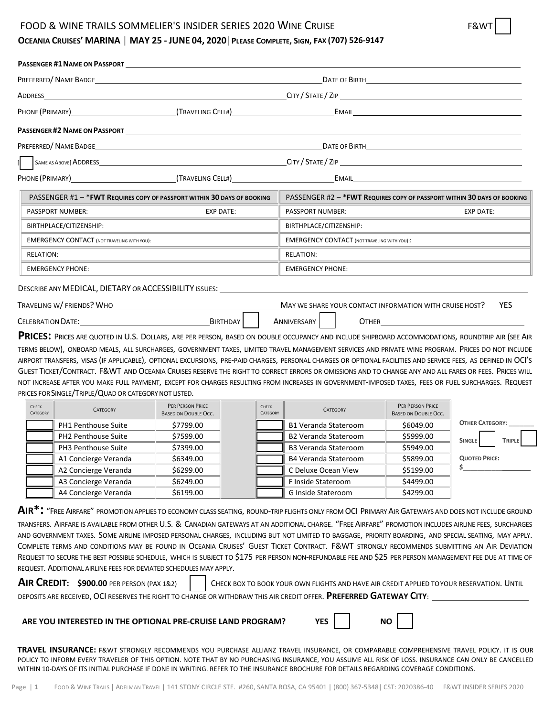### FOOD & WINE TRAILS SOMMELIER'S INSIDER SERIES 2020 WINE CRUISE

## OCEANIA CRUISES' MARINA | MAY 25 - JUNE 04, 2020 | PLEASE COMPLETE, SIGN, FAX (707) 526-9147

|                                 |                                                                                                                                                                                                                                     |                                                 |                         |                   |                                                     |                 | CITY / STATE / ZIP                                      |                                                                                                                                                                                                                                      |  |  |
|---------------------------------|-------------------------------------------------------------------------------------------------------------------------------------------------------------------------------------------------------------------------------------|-------------------------------------------------|-------------------------|-------------------|-----------------------------------------------------|-----------------|---------------------------------------------------------|--------------------------------------------------------------------------------------------------------------------------------------------------------------------------------------------------------------------------------------|--|--|
|                                 | PHONE (PRIMARY) (TRAVELING CELL#)                                                                                                                                                                                                   |                                                 |                         |                   |                                                     |                 |                                                         | EMAIL <b>Example 2008</b>                                                                                                                                                                                                            |  |  |
|                                 |                                                                                                                                                                                                                                     |                                                 |                         |                   |                                                     |                 |                                                         |                                                                                                                                                                                                                                      |  |  |
|                                 |                                                                                                                                                                                                                                     |                                                 |                         |                   |                                                     |                 |                                                         | $\begin{tabular}{ c c c } \hline \textbf{DATE OF BIRTH} & \textbf{3.013}\end{tabular}$                                                                                                                                               |  |  |
|                                 |                                                                                                                                                                                                                                     |                                                 |                         |                   |                                                     |                 |                                                         |                                                                                                                                                                                                                                      |  |  |
|                                 | PHONE (PRIMARY) (TRAVELING CELL#)                                                                                                                                                                                                   |                                                 |                         |                   |                                                     |                 |                                                         | EMAIL <b>EXAMPLE AND STRUCK STATES AND STRUCK STATES OF A STRUCK STATES AND STRUCK STATES OF A STRUCK STATES OF A STRUCK STATES OF A STRUCK STATES OF A STRUCK STATES OF A STRUCK STATES OF A STRUCK STATES OF A STRUCK STATES O</b> |  |  |
|                                 | PASSENGER #1 - * FWT REQUIRES COPY OF PASSPORT WITHIN 30 DAYS OF BOOKING                                                                                                                                                            |                                                 |                         |                   |                                                     |                 |                                                         | PASSENGER #2 - * FWT REQUIRES COPY OF PASSPORT WITHIN 30 DAYS OF BOOKING                                                                                                                                                             |  |  |
|                                 | <b>PASSPORT NUMBER:</b>                                                                                                                                                                                                             |                                                 | <b>EXP DATE:</b>        |                   | PASSPORT NUMBER:                                    |                 |                                                         | <b>EXP DATE:</b>                                                                                                                                                                                                                     |  |  |
| BIRTHPLACE/CITIZENSHIP:         |                                                                                                                                                                                                                                     |                                                 |                         |                   | BIRTHPLACE/CITIZENSHIP:                             |                 |                                                         |                                                                                                                                                                                                                                      |  |  |
|                                 | <b>EMERGENCY CONTACT (NOT TRAVELING WITH YOU):</b>                                                                                                                                                                                  |                                                 |                         |                   | <b>EMERGENCY CONTACT (NOT TRAVELING WITH YOU)::</b> |                 |                                                         |                                                                                                                                                                                                                                      |  |  |
| RELATION:                       |                                                                                                                                                                                                                                     |                                                 | <b>RELATION:</b>        |                   |                                                     |                 |                                                         |                                                                                                                                                                                                                                      |  |  |
|                                 | <b>EMERGENCY PHONE:</b>                                                                                                                                                                                                             |                                                 | <b>EMERGENCY PHONE:</b> |                   |                                                     |                 |                                                         |                                                                                                                                                                                                                                      |  |  |
|                                 | DESCRIBE ANY MEDICAL, DIETARY OR ACCESSIBILITY ISSUES: UNITS AND MEDICAL, DIETARY OR ACCESSIBILITY ISSUES:                                                                                                                          |                                                 |                         |                   |                                                     |                 |                                                         |                                                                                                                                                                                                                                      |  |  |
|                                 | TRAVELING W/FRIENDS? WHO                                                                                                                                                                                                            |                                                 |                         |                   |                                                     |                 | MAY WE SHARE YOUR CONTACT INFORMATION WITH CRUISE HOST? | <b>YES</b>                                                                                                                                                                                                                           |  |  |
|                                 | <b>CELEBRATION DATE:</b> THE SERVICE OF STRAIN STRAIN STRAIN STRAIN STRAIN STRAIN STRAIN STRAIN STRAIN STRAIN STRAIN STRAIN STRAIN STRAIN STRAIN STRAIN STRAIN STRAIN STRAIN STRAIN STRAIN STRAIN STRAIN STRAIN STRAIN STRAIN STRAI |                                                 | BIRTHDAY                |                   | <b>ANNIVERSARY</b>                                  |                 | <b>OTHER CONTROLLER</b>                                 |                                                                                                                                                                                                                                      |  |  |
|                                 | PRICES: PRICES ARE QUOTED IN U.S. DOLLARS, ARE PER PERSON, BASED ON DOUBLE OCCUPANCY AND INCLUDE SHIPBOARD ACCOMMODATIONS, ROUNDTRIP AIR (SEE AIR                                                                                   |                                                 |                         |                   |                                                     |                 |                                                         |                                                                                                                                                                                                                                      |  |  |
|                                 | TERMS BELOW), ONBOARD MEALS, ALL SURCHARGES, GOVERNMENT TAXES, LIMITED TRAVEL MANAGEMENT SERVICES AND PRIVATE WINE PROGRAM. PRICES DO NOT INCLUDE                                                                                   |                                                 |                         |                   |                                                     |                 |                                                         |                                                                                                                                                                                                                                      |  |  |
|                                 | AIRPORT TRANSFERS, VISAS (IF APPLICABLE), OPTIONAL EXCURSIONS, PRE-PAID CHARGES, PERSONAL CHARGES OR OPTIONAL FACILITIES AND SERVICE FEES, AS DEFINED IN OCI'S                                                                      |                                                 |                         |                   |                                                     |                 |                                                         |                                                                                                                                                                                                                                      |  |  |
|                                 | GUEST TICKET/CONTRACT. F&WT AND OCEANIA CRUISES RESERVE THE RIGHT TO CORRECT ERRORS OR OMISSIONS AND TO CHANGE ANY AND ALL FARES OR FEES. PRICES WILL                                                                               |                                                 |                         |                   |                                                     |                 |                                                         |                                                                                                                                                                                                                                      |  |  |
|                                 | NOT INCREASE AFTER YOU MAKE FULL PAYMENT, EXCEPT FOR CHARGES RESULTING FROM INCREASES IN GOVERNMENT-IMPOSED TAXES, FEES OR FUEL SURCHARGES. REQUEST                                                                                 |                                                 |                         |                   |                                                     |                 |                                                         |                                                                                                                                                                                                                                      |  |  |
|                                 | PRICES FOR SINGLE/TRIPLE/QUAD OR CATEGORY NOT LISTED.                                                                                                                                                                               |                                                 |                         |                   |                                                     |                 |                                                         |                                                                                                                                                                                                                                      |  |  |
| <b>CHECK</b><br><b>CATEGORY</b> | <b>CATEGORY</b>                                                                                                                                                                                                                     | PER PERSON PRICE<br><b>BASED ON DOUBLE OCC.</b> |                         | CHECK<br>CATEGORY |                                                     | <b>CATEGORY</b> | PER PERSON PRICE<br><b>BASED ON DOUBLE OCC.</b>         |                                                                                                                                                                                                                                      |  |  |
|                                 | PH1 Penthouse Suite                                                                                                                                                                                                                 | \$7799.00                                       |                         |                   | <b>B1 Veranda Stateroom</b>                         |                 | \$6049.00                                               | <b>OTHER CATEGORY:</b>                                                                                                                                                                                                               |  |  |
|                                 | $D112.04$ $\rightarrow$ $\rightarrow$ $\rightarrow$ $\rightarrow$ $\rightarrow$ $\rightarrow$ $\rightarrow$                                                                                                                         | $\overline{a}$                                  |                         |                   | $0.211$ and $0.11$ $0.11$                           |                 | $\triangle$ $\triangle$ $\triangle$ $\triangle$         |                                                                                                                                                                                                                                      |  |  |

| PH1 Penthouse Suite  | \$7799.00 |  | <b>B1 Veranda Stateroom</b> | \$6049.00 | <b>OTHER CATEGORY:</b>  |
|----------------------|-----------|--|-----------------------------|-----------|-------------------------|
| PH2 Penthouse Suite  | \$7599.00 |  | <b>B2 Veranda Stateroom</b> | \$5999.00 | SINGLE<br><b>TRIPLE</b> |
| PH3 Penthouse Suite  | \$7399.00 |  | <b>B3 Veranda Stateroom</b> | \$5949.00 |                         |
| A1 Concierge Veranda | \$6349.00 |  | <b>B4 Veranda Stateroom</b> | \$5899.00 | <b>QUOTED PRICE:</b>    |
| A2 Concierge Veranda | \$6299.00 |  | C Deluxe Ocean View         | \$5199.00 |                         |
| A3 Concierge Veranda | \$6249.00 |  | F Inside Stateroom          | \$4499.00 |                         |
| A4 Concierge Veranda | \$6199.00 |  | <b>G Inside Stateroom</b>   | \$4299.00 |                         |
|                      |           |  |                             |           |                         |

**AIR\*:** "FREE AIRFARE" PROMOTION APPLIES TO ECONOMY CLASS SEATING, ROUND-TRIP FLIGHTS ONLY FROM OCI PRIMARY AIR GATEWAYS AND DOES NOT INCLUDE GROUND TRANSFERS. AIRFARE IS AVAILABLE FROM OTHER U.S. & CANADIAN GATEWAYS AT AN ADDITIONAL CHARGE. "FREE AIRFARE" PROMOTION INCLUDES AIRLINE FEES, SURCHARGES AND GOVERNMENT TAXES. SOME AIRLINE IMPOSED PERSONAL CHARGES, INCLUDING BUT NOT LIMITED TO BAGGAGE, PRIORITY BOARDING, AND SPECIAL SEATING, MAY APPLY. COMPLETE TERMS AND CONDITIONS MAY BE FOUND IN OCEANIA CRUISES' GUEST TICKET CONTRACT. F&WT STRONGLY RECOMMENDS SUBMITTING AN AIR DEVIATION REQUEST TO SECURE THE BEST POSSIBLE SCHEDULE, WHICH IS SUBJECT TO \$175 PER PERSON NON-REFUNDABLE FEE AND \$25 PER PERSON MANAGEMENT FEE DUE AT TIME OF REQUEST. ADDITIONAL AIRLINE FEES FOR DEVIATED SCHEDULES MAY APPLY.

| <b>AIR CREDIT: \$900.00 PER PERSON (PAX 1&amp;2)</b> | CHECK BOX TO BOOK YOUR OWN FLIGHTS AND HAVE AIR CREDIT APPLIED TOYOUR RESERVATION. UNTIL                           |
|------------------------------------------------------|--------------------------------------------------------------------------------------------------------------------|
|                                                      | DEPOSITS ARE RECEIVED, OCI RESERVES THE RIGHT TO CHANGE OR WITHDRAW THIS AIR CREDIT OFFER. PREFERRED GATEWAY CITY: |

#### **ARE YOU INTERESTED IN THE OPTIONAL PRE-CRUISE LAND PROGRAM?** YES | | NO

**TRAVEL INSURANCE:** F&WT STRONGLY RECOMMENDS YOU PURCHASE ALLIANZ TRAVEL INSURANCE, OR COMPARABLE COMPREHENSIVE TRAVEL POLICY. IT IS OUR POLICY TO INFORM EVERY TRAVELER OF THIS OPTION. NOTE THAT BY NO PURCHASING INSURANCE, YOU ASSUME ALL RISK OF LOSS. INSURANCE CAN ONLY BE CANCELLED WITHIN 10-DAYS OF ITS INITIAL PURCHASE IF DONE IN WRITING. REFER TO THE INSURANCE BROCHURE FOR DETAILS REGARDING COVERAGE CONDITIONS.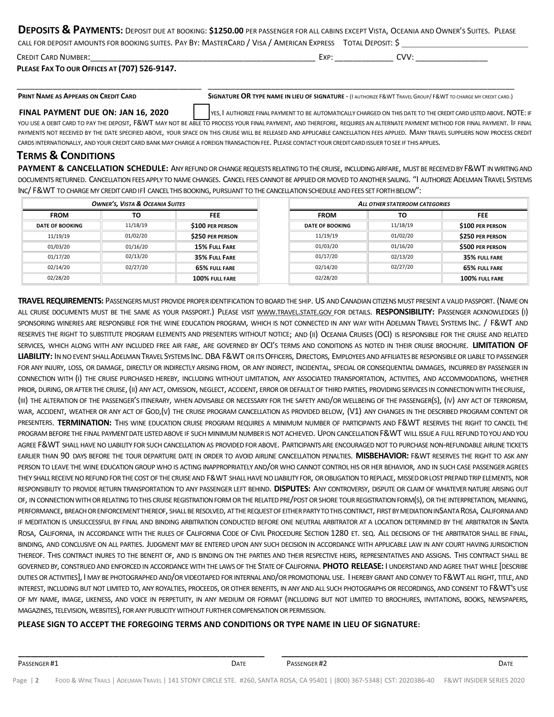| DEPOSITS & PAYMENTS: DEPOSIT DUE AT BOOKING: \$1250.00 PER PASSENGER FOR ALL CABINS EXCEPT VISTA, OCEANIA AND OWNER'S SUITES. PLEASE |  |
|--------------------------------------------------------------------------------------------------------------------------------------|--|
| CALL FOR DEPOSIT AMOUNTS FOR BOOKING SUITES. PAY BY: MASTERCARD / VISA / AMERICAN EXPRESS TOTAL DEPOSIT: S                           |  |

| Credit<br>CARD<br>, NUMBER |  | - VD<br>∟∧r |  | $\mathcal{U}$ |  |
|----------------------------|--|-------------|--|---------------|--|
|----------------------------|--|-------------|--|---------------|--|

**PLEASE FAX TO OUR OFFICES AT (707) 526-9147.** 

\_\_\_\_\_\_\_\_\_\_\_\_\_\_\_\_\_\_\_\_\_\_\_\_\_\_\_\_\_\_\_\_\_\_\_\_\_\_\_\_\_ \_\_\_\_\_\_\_\_\_\_\_\_\_\_\_\_\_\_\_\_\_\_\_\_\_\_\_\_\_\_\_\_\_\_\_\_\_\_\_\_\_\_\_\_\_\_\_\_\_\_\_\_\_\_\_\_\_\_\_\_\_\_\_\_\_\_\_\_

PRINT NAME AS APPEARS ON CREDIT CARD SIGNATURE OR TYPE NAME IN LIEU OF SIGNATURE - (I AUTHORIZE F& WT TRAVEL GROUP/ F& WT TO CHARGE MY CREDIT CARD.)

#### **FINAL PAYMENT DUE ON: JAN 16, 2020** YES, I AUTHORIZE FINAL PAYMENT TO BE AUTOMATICALLY CHARGED ON THIS DATE TO THE CREDIT CARD LISTED ABOVE. NOTE: IF

YOU USE A DEBIT CARD TO PAY THE DEPOSIT, F&WT MAY NOT BE ABLE TO PROCESS YOUR FINAL PAYMENT, AND THEREFORE, REQUIRES AN ALTERNATE PAYMENT METHOD FOR FINAL PAYMENT. IF FINAL PAYMENTS NOT RECEIVED BY THE DATE SPECIFIED ABOVE, YOUR SPACE ON THIS CRUISE WILL BE RELEASED AND APPLICABLE CANCELLATION FEES APPLIED. MANY TRAVEL SUPPLIERS NOW PROCESS CREDIT CARDS INTERNATIONALLY, AND YOUR CREDIT CARD BANK MAY CHARGE A FOREIGN TRANSACTION FEE. PLEASE CONTACT YOUR CREDITCARDISSUERTOSEE IF THIS APPLIES.

## **TERMS & CONDITIONS**

**PAYMENT & CANCELLATION SCHEDULE:** ANY REFUND OR CHANGE REQUESTS RELATING TO THE CRUISE, INCLUDING AIRFARE, MUST BE RECEIVED BY F&WT IN WRITING AND DOCUMENTS RETURNED. CANCELLATION FEES APPLY TO NAME CHANGES. CANCEL FEES CANNOT BE APPLIED OR MOVED TO ANOTHER SAILING. "I AUTHORIZE ADELMAN TRAVEL SYSTEMS INC/ F&WT TO CHARGE MY CREDIT CARD IFI CANCEL THIS BOOKING, PURSUANT TO THE CANCELLATION SCHEDULE AND FEES SET FORTH BELOW":

| <b>OWNER'S, VISTA &amp; OCEANIA SUITES</b> |          |                      |  | ALL OTHER STATEROOM CATEGORIES |          |                         |  |
|--------------------------------------------|----------|----------------------|--|--------------------------------|----------|-------------------------|--|
| <b>FROM</b>                                | τо       | <b>FEE</b>           |  | <b>FROM</b>                    | то       | <b>FEE</b>              |  |
| <b>DATE OF BOOKING</b>                     | 11/18/19 | \$100 PER PERSON     |  | <b>DATE OF BOOKING</b>         | 11/18/19 | <b>\$100 PER PERSON</b> |  |
| 11/19/19                                   | 01/02/20 | \$250 PER PERSON     |  | 11/19/19                       | 01/02/20 | <b>\$250 PER PERSON</b> |  |
| 01/03/20                                   | 01/16/20 | <b>15% FULL FARE</b> |  | 01/03/20                       | 01/16/20 | \$500 PER PERSON        |  |
| 01/17/20                                   | 02/13/20 | 35% FULL FARE        |  | 01/17/20                       | 02/13/20 | 35% FULL FARE           |  |
| 02/14/20                                   | 02/27/20 | 65% FULL FARE        |  | 02/14/20                       | 02/27/20 | 65% FULL FARE           |  |
| 02/28/20                                   |          | 100% FULL FARE       |  | 02/28/20                       |          | 100% FULL FARE          |  |

**TRAVEL REQUIREMENTS:** PASSENGERSMUST PROVIDE PROPERIDENTIFICATIONTOBOARDTHE SHIP. US ANDCANADIANCITIZENSMUST PRESENT A VALIDPASSPORT. (NAMEON ALL CRUISE DOCUMENTS MUST BE THE SAME AS YOUR PASSPORT.) PLEASE VISIT WWW.TRAVEL.STATE.GOV FOR DETAILS. **RESPONSIBILITY:** PASSENGER ACKNOWLEDGES (I) SPONSORING WINERIES ARE RESPONSIBLE FOR THE WINE EDUCATION PROGRAM, WHICH IS NOT CONNECTED IN ANY WAY WITH ADELMAN TRAVEL SYSTEMS INC. / F&WT AND RESERVES THE RIGHT TO SUBSTITUTE PROGRAM ELEMENTS AND PRESENTERS WITHOUT NOTICE; AND (II) OCEANIA CRUISES (OCI) IS RESPONSIBLE FOR THE CRUISE AND RELATED SERVICES, WHICH ALONG WITH ANY INCLUDED FREE AIR FARE, ARE GOVERNED BY OCI'S TERMS AND CONDITIONS AS NOTED IN THEIR CRUISE BROCHURE. **LIMITATION OF**  LIABILITY: IN NO EVENT SHALL ADELMAN TRAVEL SYSTEMS INC. DBA F&WT OR ITS OFFICERS. DIRECTORS, EMPLOYEES AND AFFILIATES BE RESPONSIBLE OR LIABLE TO PASSENGER FOR ANY INJURY, LOSS, OR DAMAGE, DIRECTLY OR INDIRECTLY ARISING FROM, OR ANY INDIRECT, INCIDENTAL, SPECIAL OR CONSEQUENTIAL DAMAGES, INCURRED BY PASSENGER IN CONNECTION WITH (I) THE CRUISE PURCHASED HEREBY, INCLUDING WITHOUT LIMITATION, ANY ASSOCIATED TRANSPORTATION, ACTIVITIES, AND ACCOMMODATIONS, WHETHER PRIOR, DURING, OR AFTER THE CRUISE, (II) ANY ACT, OMISSION, NEGLECT, ACCIDENT, ERROR OR DEFAULT OF THIRD PARTIES, PROVIDING SERVICES IN CONNECTION WITH THE CRUISE, (III) THE ALTERATION OF THE PASSENGER'S ITINERARY, WHEN ADVISABLE OR NECESSARY FOR THE SAFETY AND/OR WELLBEING OF THE PASSENGER(S), (IV) ANY ACT OF TERRORISM, WAR, ACCIDENT, WEATHER OR ANY ACT OF GOD,(V) THE CRUISE PROGRAM CANCELLATION AS PROVIDED BELOW, (V1) ANY CHANGES IN THE DESCRIBED PROGRAM CONTENT OR PRESENTERS. **TERMINATION:** THIS WINE EDUCATION CRUISE PROGRAM REQUIRES A MINIMUM NUMBER OF PARTICIPANTS AND F&WT RESERVES THE RIGHT TO CANCEL THE PROGRAM BEFORE THE FINAL PAYMENT DATE LISTED ABOVE IF SUCH MINIMUM NUMBER IS NOT ACHIEVED. UPON CANCELLATION F&WT WILL ISSUE A FULL REFUND TO YOU AND YOU AGREE F&WT SHALL HAVE NO LIABILITY FOR SUCH CANCELLATION AS PROVIDED FOR ABOVE. PARTICIPANTS ARE ENCOURAGED NOT TO PURCHASE NON-REFUNDABLE AIRLINE TICKETS EARLIER THAN 90 DAYS BEFORE THE TOUR DEPARTURE DATE IN ORDER TO AVOID AIRLINE CANCELLATION PENALTIES. **MISBEHAVIOR:** F&WT RESERVES THE RIGHT TO ASK ANY PERSON TO LEAVE THE WINE EDUCATION GROUP WHO IS ACTING INAPPROPRIATELY AND/OR WHO CANNOT CONTROL HIS OR HER BEHAVIOR, AND IN SUCH CASE PASSENGER AGREES THEY SHALL RECEIVE NO REFUND FOR THE COST OF THE CRUISE AND F&WT SHALL HAVE NO LIABILITY FOR, OR OBLIGATION TO REPLACE, MISSED OR LOST PREPAID TRIP ELEMENTS, NOR RESPONSIBILITY TO PROVIDE RETURN TRANSPORTATION TO ANY PASSENGER LEFT BEHIND. **DISPUTES:** ANY CONTROVERSY, DISPUTE OR CLAIM OF WHATEVER NATURE ARISING OUT OF, INCONNECTIONWITHOR RELATINGTOTHIS CRUISE REGISTRATION FORM OR THE RELATEDPRE/POSTOR SHORE TOURREGISTRATION FORM(S), OR THE INTERPRETATION, MEANING, PERFORMANCE, BREACH OR ENFORCEMENT THEREOF, SHALL BE RESOLVED, AT THE REQUEST OF EITHER PARTY TO THIS CONTRACT, FIRST BY MEDIATION INSANTA ROSA, CALIFORNIA AND IF MEDITATION IS UNSUCCESSFUL BY FINAL AND BINDING ARBITRATION CONDUCTED BEFORE ONE NEUTRAL ARBITRATOR AT A LOCATION DETERMINED BY THE ARBITRATOR IN SANTA ROSA, CALIFORNIA, IN ACCORDANCE WITH THE RULES OF CALIFORNIA CODE OF CIVIL PROCEDURE SECTION 1280 ET. SEQ. ALL DECISIONS OF THE ARBITRATOR SHALL BE FINAL, BINDING, AND CONCLUSIVE ON ALL PARTIES. JUDGMENT MAY BE ENTERED UPON ANY SUCH DECISION IN ACCORDANCE WITH APPLICABLE LAW IN ANY COURT HAVING JURISDICTION THEREOF. THIS CONTRACT INURES TO THE BENEFIT OF, AND IS BINDING ON THE PARTIES AND THEIR RESPECTIVE HEIRS, REPRESENTATIVES AND ASSIGNS. THIS CONTRACT SHALL BE GOVERNED BY, CONSTRUED AND ENFORCED IN ACCORDANCEWITH THE LAWSOF THE STATEOFCALIFORNIA. **PHOTO RELEASE:** I UNDERSTAND AND AGREE THAT WHILE [DESCRIBE DUTIES OR ACTIVITIES], I MAY BE PHOTOGRAPHED AND/OR VIDEOTAPED FOR INTERNAL AND/OR PROMOTIONAL USE. I HEREBY GRANT AND CONVEY TO F&WT ALL RIGHT, TITLE, AND INTEREST, INCLUDING BUT NOT LIMITED TO, ANY ROYALTIES, PROCEEDS, OR OTHER BENEFITS, IN ANY AND ALL SUCH PHOTOGRAPHS OR RECORDINGS, AND CONSENT TO F&WT'S USE OF MY NAME, IMAGE, LIKENESS, AND VOICE IN PERPETUITY, IN ANY MEDIUM OR FORMAT (INCLUDING BUT NOT LIMITED TO BROCHURES, INVITATIONS, BOOKS, NEWSPAPERS, MAGAZINES, TELEVISION, WEBSITES), FOR ANY PUBLICITY WITHOUT FURTHER COMPENSATION OR PERMISSION.

#### **PLEASE SIGN TO ACCEPT THE FOREGOING TERMS AND CONDITIONS OR TYPE NAME IN LIEU OF SIGNATURE:**

\_\_\_\_\_\_\_\_\_\_\_\_\_\_\_\_\_\_\_\_\_\_\_\_\_\_\_\_\_\_\_\_\_\_\_\_\_\_\_ \_\_\_\_\_\_\_\_\_\_\_\_\_\_\_\_\_\_\_\_\_\_\_\_\_\_\_\_\_\_\_\_\_\_\_\_\_\_\_